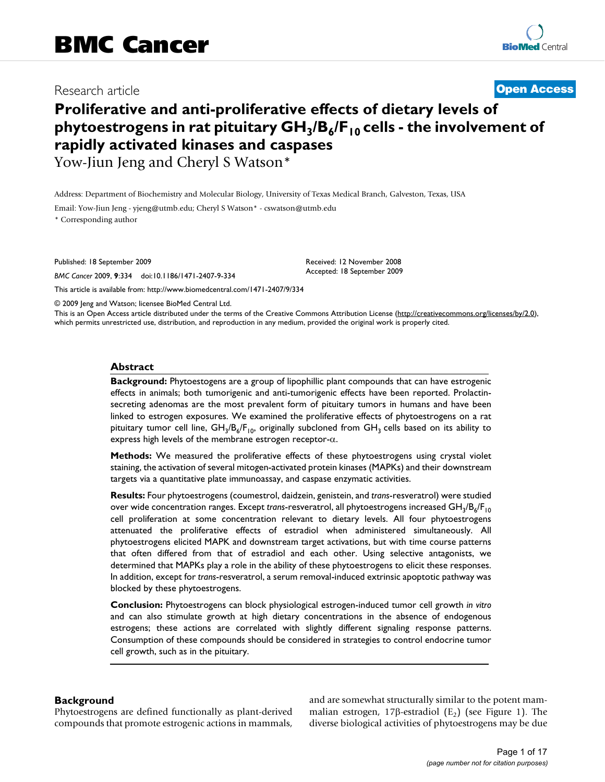Research article **[Open Access](http://www.biomedcentral.com/info/about/charter/)**

# **Proliferative and anti-proliferative effects of dietary levels of**  phytoestrogens in rat pituitary GH<sub>3</sub>/B<sub>6</sub>/F<sub>10</sub> cells - the involvement of **rapidly activated kinases and caspases** Yow-Jiun Jeng and Cheryl S Watson\*

Address: Department of Biochemistry and Molecular Biology, University of Texas Medical Branch, Galveston, Texas, USA

Email: Yow-Jiun Jeng - yjeng@utmb.edu; Cheryl S Watson\* - cswatson@utmb.edu \* Corresponding author

Published: 18 September 2009

*BMC Cancer* 2009, **9**:334 doi:10.1186/1471-2407-9-334

[This article is available from: http://www.biomedcentral.com/1471-2407/9/334](http://www.biomedcentral.com/1471-2407/9/334)

© 2009 Jeng and Watson; licensee BioMed Central Ltd.

This is an Open Access article distributed under the terms of the Creative Commons Attribution License [\(http://creativecommons.org/licenses/by/2.0\)](http://creativecommons.org/licenses/by/2.0), which permits unrestricted use, distribution, and reproduction in any medium, provided the original work is properly cited.

Received: 12 November 2008 Accepted: 18 September 2009

#### **Abstract**

**Background:** Phytoestogens are a group of lipophillic plant compounds that can have estrogenic effects in animals; both tumorigenic and anti-tumorigenic effects have been reported. Prolactinsecreting adenomas are the most prevalent form of pituitary tumors in humans and have been linked to estrogen exposures. We examined the proliferative effects of phytoestrogens on a rat pituitary tumor cell line,  $GH_3/B_6/F_{10}$ , originally subcloned from  $GH_3$  cells based on its ability to express high levels of the membrane estrogen receptor-α.

**Methods:** We measured the proliferative effects of these phytoestrogens using crystal violet staining, the activation of several mitogen-activated protein kinases (MAPKs) and their downstream targets via a quantitative plate immunoassay, and caspase enzymatic activities.

**Results:** Four phytoestrogens (coumestrol, daidzein, genistein, and *trans*-resveratrol) were studied over wide concentration ranges. Except *trans*-resveratrol, all phytoestrogens increased GH<sub>3</sub>/B<sub>6</sub>/F<sub>10</sub> cell proliferation at some concentration relevant to dietary levels. All four phytoestrogens attenuated the proliferative effects of estradiol when administered simultaneously. All phytoestrogens elicited MAPK and downstream target activations, but with time course patterns that often differed from that of estradiol and each other. Using selective antagonists, we determined that MAPKs play a role in the ability of these phytoestrogens to elicit these responses. In addition, except for *trans*-resveratrol, a serum removal-induced extrinsic apoptotic pathway was blocked by these phytoestrogens.

**Conclusion:** Phytoestrogens can block physiological estrogen-induced tumor cell growth *in vitro* and can also stimulate growth at high dietary concentrations in the absence of endogenous estrogens; these actions are correlated with slightly different signaling response patterns. Consumption of these compounds should be considered in strategies to control endocrine tumor cell growth, such as in the pituitary.

#### **Background**

Phytoestrogens are defined functionally as plant-derived compounds that promote estrogenic actions in mammals, and are somewhat structurally similar to the potent mammalian estrogen, 17β-estradiol  $(E_2)$  (see Figure 1). The diverse biological activities of phytoestrogens may be due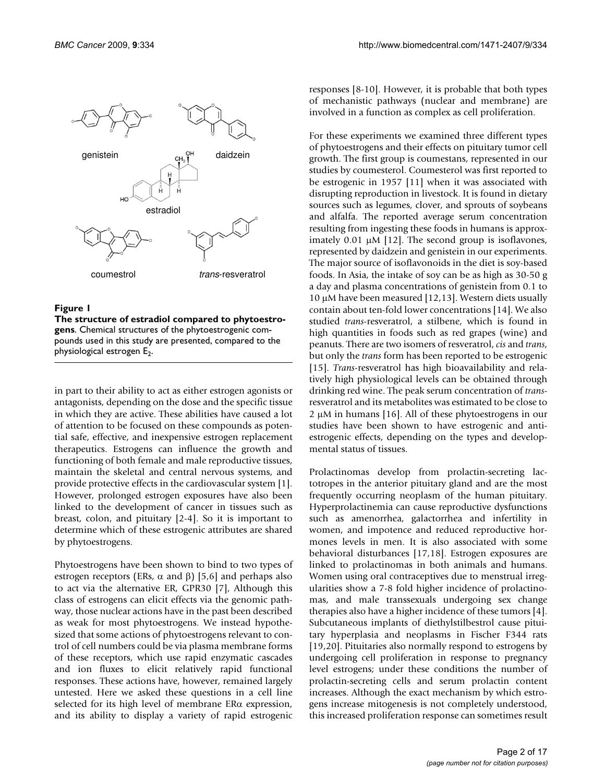

**The structure of estradiol compared to phytoestrogens**. Chemical structures of the phytoestrogenic compounds used in this study are presented, compared to the physiological estrogen  $E_2$ .

in part to their ability to act as either estrogen agonists or antagonists, depending on the dose and the specific tissue in which they are active. These abilities have caused a lot of attention to be focused on these compounds as potential safe, effective, and inexpensive estrogen replacement therapeutics. Estrogens can influence the growth and functioning of both female and male reproductive tissues, maintain the skeletal and central nervous systems, and provide protective effects in the cardiovascular system [1]. However, prolonged estrogen exposures have also been linked to the development of cancer in tissues such as breast, colon, and pituitary [2-4]. So it is important to determine which of these estrogenic attributes are shared by phytoestrogens.

Phytoestrogens have been shown to bind to two types of estrogen receptors (ERs, α and β) [5,6] and perhaps also to act via the alternative ER, GPR30 [7], Although this class of estrogens can elicit effects via the genomic pathway, those nuclear actions have in the past been described as weak for most phytoestrogens. We instead hypothesized that some actions of phytoestrogens relevant to control of cell numbers could be via plasma membrane forms of these receptors, which use rapid enzymatic cascades and ion fluxes to elicit relatively rapid functional responses. These actions have, however, remained largely untested. Here we asked these questions in a cell line selected for its high level of membrane ERα expression, and its ability to display a variety of rapid estrogenic responses [8-10]. However, it is probable that both types of mechanistic pathways (nuclear and membrane) are involved in a function as complex as cell proliferation.

For these experiments we examined three different types of phytoestrogens and their effects on pituitary tumor cell growth. The first group is coumestans, represented in our studies by coumesterol. Coumesterol was first reported to be estrogenic in 1957 [11] when it was associated with disrupting reproduction in livestock. It is found in dietary sources such as legumes, clover, and sprouts of soybeans and alfalfa. The reported average serum concentration resulting from ingesting these foods in humans is approximately 0.01 μM [12]. The second group is isoflavones, represented by daidzein and genistein in our experiments. The major source of isoflavonoids in the diet is soy-based foods. In Asia, the intake of soy can be as high as 30-50 g a day and plasma concentrations of genistein from 0.1 to 10 μM have been measured [12,13]. Western diets usually contain about ten-fold lower concentrations [14]. We also studied *trans*-resveratrol, a stilbene, which is found in high quantities in foods such as red grapes (wine) and peanuts. There are two isomers of resveratrol, *cis* and *trans*, but only the *trans* form has been reported to be estrogenic [15]. *Trans*-resveratrol has high bioavailability and relatively high physiological levels can be obtained through drinking red wine. The peak serum concentration of *trans*resveratrol and its metabolites was estimated to be close to 2 μM in humans [16]. All of these phytoestrogens in our studies have been shown to have estrogenic and antiestrogenic effects, depending on the types and developmental status of tissues.

Prolactinomas develop from prolactin-secreting lactotropes in the anterior pituitary gland and are the most frequently occurring neoplasm of the human pituitary. Hyperprolactinemia can cause reproductive dysfunctions such as amenorrhea, galactorrhea and infertility in women, and impotence and reduced reproductive hormones levels in men. It is also associated with some behavioral disturbances [17,18]. Estrogen exposures are linked to prolactinomas in both animals and humans. Women using oral contraceptives due to menstrual irregularities show a 7-8 fold higher incidence of prolactinomas, and male transsexuals undergoing sex change therapies also have a higher incidence of these tumors [4]. Subcutaneous implants of diethylstilbestrol cause pituitary hyperplasia and neoplasms in Fischer F344 rats [19,20]. Pituitaries also normally respond to estrogens by undergoing cell proliferation in response to pregnancy level estrogens; under these conditions the number of prolactin-secreting cells and serum prolactin content increases. Although the exact mechanism by which estrogens increase mitogenesis is not completely understood, this increased proliferation response can sometimes result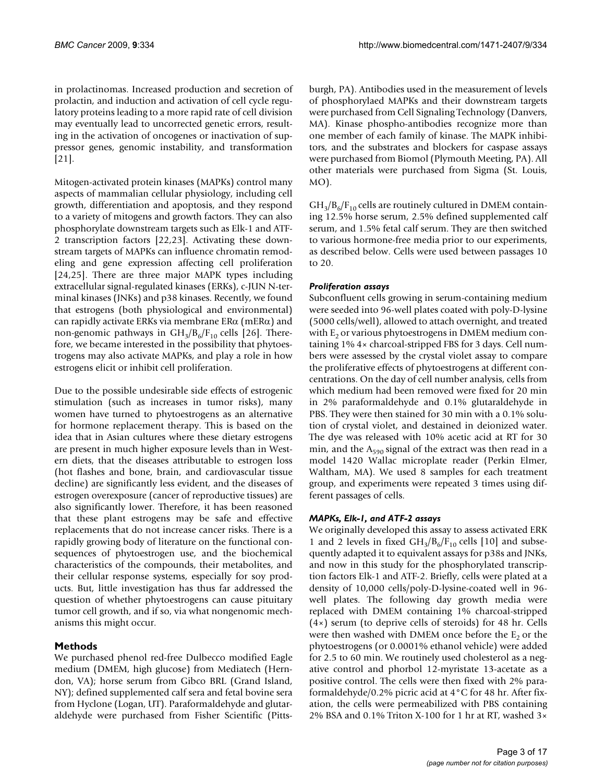in prolactinomas. Increased production and secretion of prolactin, and induction and activation of cell cycle regulatory proteins leading to a more rapid rate of cell division may eventually lead to uncorrected genetic errors, resulting in the activation of oncogenes or inactivation of suppressor genes, genomic instability, and transformation [21].

Mitogen-activated protein kinases (MAPKs) control many aspects of mammalian cellular physiology, including cell growth, differentiation and apoptosis, and they respond to a variety of mitogens and growth factors. They can also phosphorylate downstream targets such as Elk-1 and ATF-2 transcription factors [22,23]. Activating these downstream targets of MAPKs can influence chromatin remodeling and gene expression affecting cell proliferation [24,25]. There are three major MAPK types including extracellular signal-regulated kinases (ERKs), c-JUN N-terminal kinases (JNKs) and p38 kinases. Recently, we found that estrogens (both physiological and environmental) can rapidly activate ERKs via membrane  $ER\alpha$  (mER $\alpha$ ) and non-genomic pathways in  $GH_3/B_6/F_{10}$  cells [26]. Therefore, we became interested in the possibility that phytoestrogens may also activate MAPKs, and play a role in how estrogens elicit or inhibit cell proliferation.

Due to the possible undesirable side effects of estrogenic stimulation (such as increases in tumor risks), many women have turned to phytoestrogens as an alternative for hormone replacement therapy. This is based on the idea that in Asian cultures where these dietary estrogens are present in much higher exposure levels than in Western diets, that the diseases attributable to estrogen loss (hot flashes and bone, brain, and cardiovascular tissue decline) are significantly less evident, and the diseases of estrogen overexposure (cancer of reproductive tissues) are also significantly lower. Therefore, it has been reasoned that these plant estrogens may be safe and effective replacements that do not increase cancer risks. There is a rapidly growing body of literature on the functional consequences of phytoestrogen use, and the biochemical characteristics of the compounds, their metabolites, and their cellular response systems, especially for soy products. But, little investigation has thus far addressed the question of whether phytoestrogens can cause pituitary tumor cell growth, and if so, via what nongenomic mechanisms this might occur.

# **Methods**

We purchased phenol red-free Dulbecco modified Eagle medium (DMEM, high glucose) from Mediatech (Herndon, VA); horse serum from Gibco BRL (Grand Island, NY); defined supplemented calf sera and fetal bovine sera from Hyclone (Logan, UT). Paraformaldehyde and glutaraldehyde were purchased from Fisher Scientific (Pittsburgh, PA). Antibodies used in the measurement of levels of phosphorylaed MAPKs and their downstream targets were purchased from Cell Signaling Technology (Danvers, MA). Kinase phospho-antibodies recognize more than one member of each family of kinase. The MAPK inhibitors, and the substrates and blockers for caspase assays were purchased from Biomol (Plymouth Meeting, PA). All other materials were purchased from Sigma (St. Louis, MO).

 $GH_{3}/B_{6}/F_{10}$  cells are routinely cultured in DMEM containing 12.5% horse serum, 2.5% defined supplemented calf serum, and 1.5% fetal calf serum. They are then switched to various hormone-free media prior to our experiments, as described below. Cells were used between passages 10 to 20.

# *Proliferation assays*

Subconfluent cells growing in serum-containing medium were seeded into 96-well plates coated with poly-D-lysine (5000 cells/well), allowed to attach overnight, and treated with  $E<sub>2</sub>$  or various phytoestrogens in DMEM medium containing 1% 4× charcoal-stripped FBS for 3 days. Cell numbers were assessed by the crystal violet assay to compare the proliferative effects of phytoestrogens at different concentrations. On the day of cell number analysis, cells from which medium had been removed were fixed for 20 min in 2% paraformaldehyde and 0.1% glutaraldehyde in PBS. They were then stained for 30 min with a 0.1% solution of crystal violet, and destained in deionized water. The dye was released with 10% acetic acid at RT for 30 min, and the  $A_{590}$  signal of the extract was then read in a model 1420 Wallac microplate reader (Perkin Elmer, Waltham, MA). We used 8 samples for each treatment group, and experiments were repeated 3 times using different passages of cells.

# *MAPKs, Elk-1, and ATF-2 assays*

We originally developed this assay to assess activated ERK 1 and 2 levels in fixed  $GH_3/B_6/F_{10}$  cells [10] and subsequently adapted it to equivalent assays for p38s and JNKs, and now in this study for the phosphorylated transcription factors Elk-1 and ATF-2. Briefly, cells were plated at a density of 10,000 cells/poly-D-lysine-coated well in 96 well plates. The following day growth media were replaced with DMEM containing 1% charcoal-stripped (4×) serum (to deprive cells of steroids) for 48 hr. Cells were then washed with DMEM once before the  $E<sub>2</sub>$  or the phytoestrogens (or 0.0001% ethanol vehicle) were added for 2.5 to 60 min. We routinely used cholesterol as a negative control and phorbol 12-myristate 13-acetate as a positive control. The cells were then fixed with 2% paraformaldehyde/0.2% picric acid at 4°C for 48 hr. After fixation, the cells were permeabilized with PBS containing 2% BSA and 0.1% Triton X-100 for 1 hr at RT, washed 3×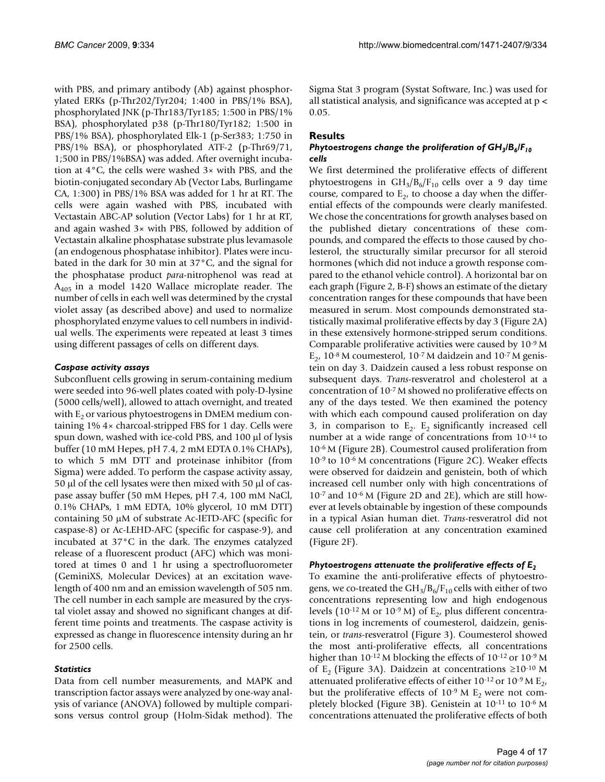with PBS, and primary antibody (Ab) against phosphorylated ERKs (p-Thr202/Tyr204; 1:400 in PBS/1% BSA), phosphorylated JNK (p-Thr183/Tyr185; 1:500 in PBS/1% BSA), phosphorylated p38 (p-Thr180/Tyr182; 1:500 in PBS/1% BSA), phosphorylated Elk-1 (p-Ser383; 1:750 in PBS/1% BSA), or phosphorylated ATF-2 (p-Thr69/71, 1;500 in PBS/1%BSA) was added. After overnight incubation at 4°C, the cells were washed 3× with PBS, and the biotin-conjugated secondary Ab (Vector Labs, Burlingame CA, 1:300) in PBS/1% BSA was added for 1 hr at RT. The cells were again washed with PBS, incubated with Vectastain ABC-AP solution (Vector Labs) for 1 hr at RT, and again washed 3× with PBS, followed by addition of Vectastain alkaline phosphatase substrate plus levamasole (an endogenous phosphatase inhibitor). Plates were incubated in the dark for 30 min at 37°C, and the signal for the phosphatase product *para*-nitrophenol was read at  $A_{405}$  in a model 1420 Wallace microplate reader. The number of cells in each well was determined by the crystal violet assay (as described above) and used to normalize phosphorylated enzyme values to cell numbers in individual wells. The experiments were repeated at least 3 times using different passages of cells on different days.

# *Caspase activity assays*

Subconfluent cells growing in serum-containing medium were seeded into 96-well plates coated with poly-D-lysine (5000 cells/well), allowed to attach overnight, and treated with  $E<sub>2</sub>$  or various phytoestrogens in DMEM medium containing 1% 4× charcoal-stripped FBS for 1 day. Cells were spun down, washed with ice-cold PBS, and 100 μl of lysis buffer (10 mM Hepes, pH 7.4, 2 mM EDTA 0.1% CHAPs), to which 5 mM DTT and proteinase inhibitor (from Sigma) were added. To perform the caspase activity assay, 50 μl of the cell lysates were then mixed with 50 μl of caspase assay buffer (50 mM Hepes, pH 7.4, 100 mM NaCl, 0.1% CHAPs, 1 mM EDTA, 10% glycerol, 10 mM DTT) containing 50 μM of substrate Ac-IETD-AFC (specific for caspase-8) or Ac-LEHD-AFC (specific for caspase-9), and incubated at 37°C in the dark. The enzymes catalyzed release of a fluorescent product (AFC) which was monitored at times 0 and 1 hr using a spectrofluorometer (GeminiXS, Molecular Devices) at an excitation wavelength of 400 nm and an emission wavelength of 505 nm. The cell number in each sample are measured by the crystal violet assay and showed no significant changes at different time points and treatments. The caspase activity is expressed as change in fluorescence intensity during an hr for 2500 cells.

# *Statistics*

Data from cell number measurements, and MAPK and transcription factor assays were analyzed by one-way analysis of variance (ANOVA) followed by multiple comparisons versus control group (Holm-Sidak method). The Sigma Stat 3 program (Systat Software, Inc.) was used for all statistical analysis, and significance was accepted at p < 0.05.

# **Results**

# *Phytoestrogens change the proliferation of GH<sub>3</sub>/B<sub>6</sub>/F<sub>10</sub> cells*

We first determined the proliferative effects of different phytoestrogens in  $GH_3/B_6/F_{10}$  cells over a 9 day time course, compared to  $E<sub>2</sub>$ , to choose a day when the differential effects of the compounds were clearly manifested. We chose the concentrations for growth analyses based on the published dietary concentrations of these compounds, and compared the effects to those caused by cholesterol, the structurally similar precursor for all steroid hormones (which did not induce a growth response compared to the ethanol vehicle control). A horizontal bar on each graph (Figure 2, B-F) shows an estimate of the dietary concentration ranges for these compounds that have been measured in serum. Most compounds demonstrated statistically maximal proliferative effects by day 3 (Figure 2A) in these extensively hormone-stripped serum conditions. Comparable proliferative activities were caused by 10-9 M  $E_2$ , 10<sup>-8</sup> M coumesterol, 10<sup>-7</sup> M daidzein and 10<sup>-7</sup> M genistein on day 3. Daidzein caused a less robust response on subsequent days. *Trans*-resveratrol and cholesterol at a concentration of 10-7 M showed no proliferative effects on any of the days tested. We then examined the potency with which each compound caused proliferation on day 3, in comparison to  $E_2$ .  $E_2$  significantly increased cell number at a wide range of concentrations from 10-14 to 10-6 M (Figure 2B). Coumestrol caused proliferation from 10-9 to 10-6 M concentrations (Figure 2C). Weaker effects were observed for daidzein and genistein, both of which increased cell number only with high concentrations of 10-7 and 10-6 M (Figure 2D and 2E), which are still however at levels obtainable by ingestion of these compounds in a typical Asian human diet. *Trans*-resveratrol did not cause cell proliferation at any concentration examined (Figure 2F).

# *Phytoestrogens attenuate the proliferative effects of E<sub>2</sub>*

To examine the anti-proliferative effects of phytoestrogens, we co-treated the  $GH_3/B_6/F_{10}$  cells with either of two concentrations representing low and high endogenous levels (10<sup>-12</sup> M or 10<sup>-9</sup> M) of  $E_2$ , plus different concentrations in log increments of coumesterol, daidzein, genistein, or *trans*-resveratrol (Figure 3). Coumesterol showed the most anti-proliferative effects, all concentrations higher than  $10^{-12}$  M blocking the effects of  $10^{-12}$  or  $10^{-9}$  M of E<sub>2</sub> (Figure 3A). Daidzein at concentrations  $\geq 10^{-10}$  M attenuated proliferative effects of either  $10^{-12}$  or  $10^{-9}$  M  $E_2$ , but the proliferative effects of  $10^{-9}$  M E<sub>2</sub> were not completely blocked (Figure 3B). Genistein at 10-11 to 10-6 M concentrations attenuated the proliferative effects of both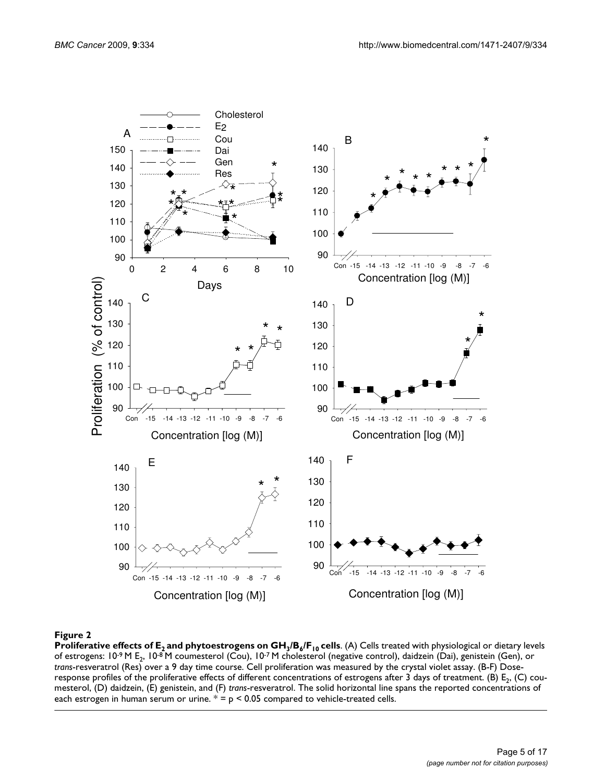

# Proliferative effects of E2 and phytoestrogens on GH3/B6/F10 **Figure 2** cells

**Proliferative effects of E<sub>2</sub> and phytoestrogens on GH<sub>3</sub>/B<sub>6</sub>/F<sub>10</sub> cells. (A) Cells treated with physiological or dietary levels** of estrogens: 10<sup>-9</sup> M E<sub>2</sub>, 10<sup>-8</sup> M coumesterol (Cou), 10<sup>-7</sup> M cholesterol (negative control), daidzein (Dai), genistein (Gen), or *trans*-resveratrol (Res) over a 9 day time course. Cell proliferation was measured by the crystal violet assay. (B-F) Doseresponse profiles of the proliferative effects of different concentrations of estrogens after 3 days of treatment. (B) E<sub>2</sub>, (C) coumesterol, (D) daidzein, (E) genistein, and (F) *trans*-resveratrol. The solid horizontal line spans the reported concentrations of each estrogen in human serum or urine.  $* = p < 0.05$  compared to vehicle-treated cells.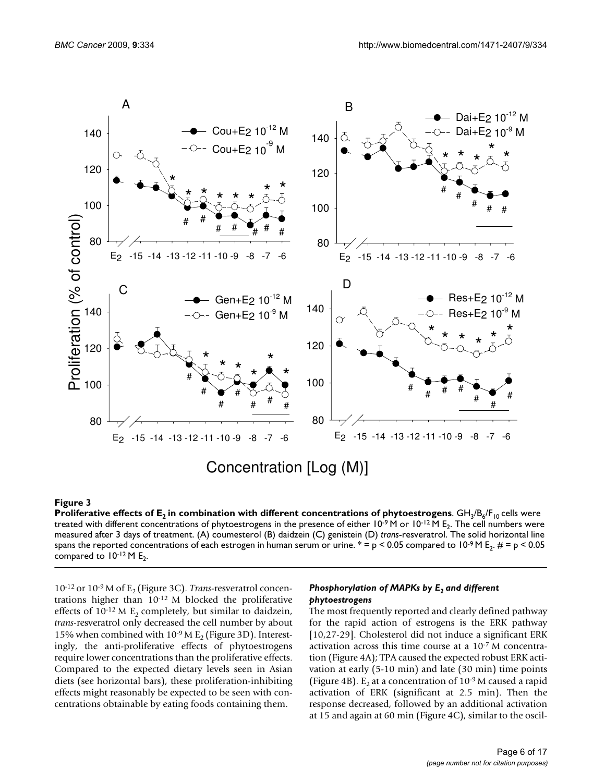

# **Products of E2 in combination with different combination with different concentrations of phytoestrogens of phytoestrogens of phytoestrogens of phytoestrogens of phytoestrogens of phytoestrogens of phytoestrogens of phyto**

**Proliferative effects of**  ${\sf E_2}$  **in combination with different concentrations of phytoestrogens**. GH<sub>3</sub>/B<sub>6</sub>/F<sub>10</sub> cells were treated with different concentrations of phytoestrogens in the presence of either  $10^{-9}$  M or  $10^{-12}$  M E<sub>2</sub>. The cell numbers were measured after 3 days of treatment. (A) coumesterol (B) daidzein (C) genistein (D) *trans*-resveratrol. The solid horizontal line spans the reported concentrations of each estrogen in human serum or urine.  $* = p < 0.05$  compared to 10<sup>-9</sup> M E<sub>2</sub>.  $\mu = p < 0.05$ compared to  $10^{-12}$  M E<sub>2</sub>.

10-12 or 10-9 M of E2 (Figure 3C). *Trans*-resveratrol concentrations higher than 10-12 M blocked the proliferative effects of  $10^{-12}$  M E<sub>2</sub> completely, but similar to daidzein, *trans*-resveratrol only decreased the cell number by about 15% when combined with  $10^{-9}$  M E<sub>2</sub> (Figure 3D). Interestingly, the anti-proliferative effects of phytoestrogens require lower concentrations than the proliferative effects. Compared to the expected dietary levels seen in Asian diets (see horizontal bars), these proliferation-inhibiting effects might reasonably be expected to be seen with concentrations obtainable by eating foods containing them.

# *Phosphorylation of MAPKs by E<sub>2</sub> and different phytoestrogens*

The most frequently reported and clearly defined pathway for the rapid action of estrogens is the ERK pathway [10,27-29]. Cholesterol did not induce a significant ERK activation across this time course at a 10-7 M concentration (Figure 4A); TPA caused the expected robust ERK activation at early (5-10 min) and late (30 min) time points (Figure 4B). E<sub>2</sub> at a concentration of  $10^{-9}$  M caused a rapid activation of ERK (significant at 2.5 min). Then the response decreased, followed by an additional activation at 15 and again at 60 min (Figure 4C), similar to the oscil-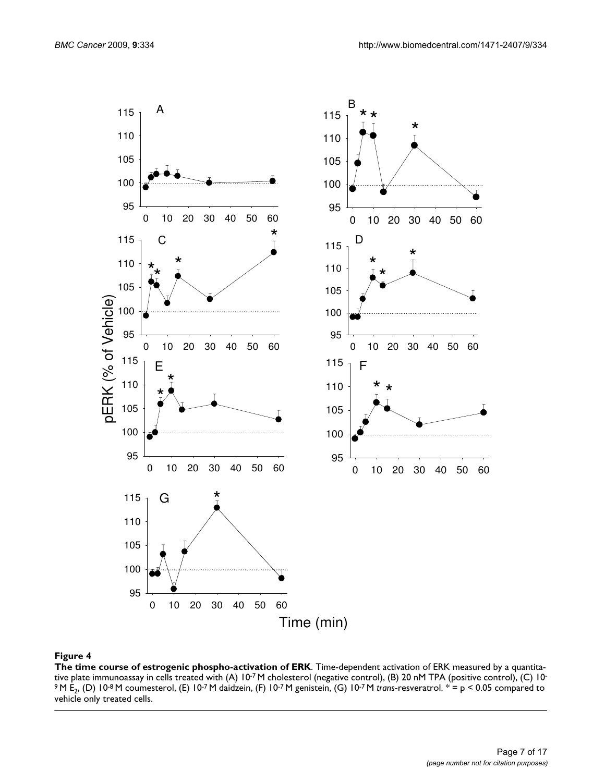

**The time course of estrogenic phospho-activation of ERK**. Time-dependent activation of ERK measured by a quantitative plate immunoassay in cells treated with (A) 10-7 M cholesterol (negative control), (B) 20 nM TPA (positive control), (C) 10- 9 M E2, (D) 10-8 M coumesterol, (E) 10-7 M daidzein, (F) 10-7 M genistein, (G) 10-7 M *trans*-resveratrol. \* = p < 0.05 compared to vehicle only treated cells.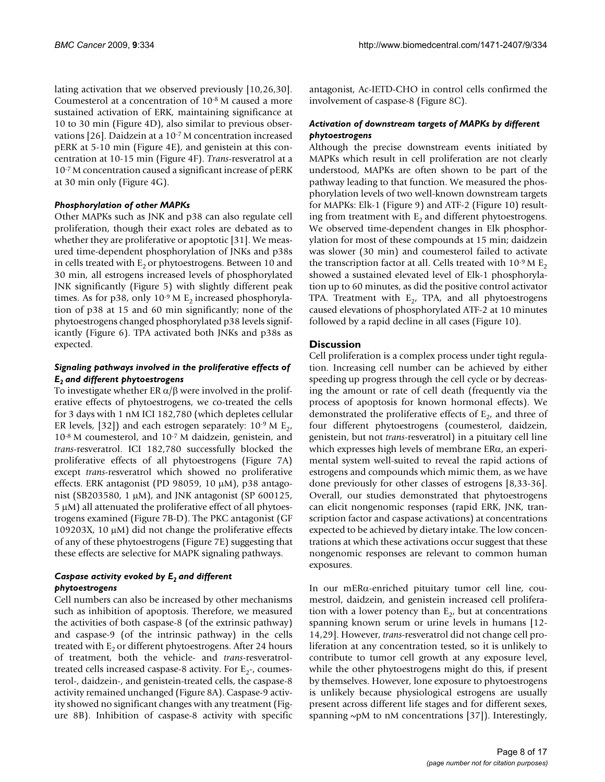lating activation that we observed previously [10,26,30]. Coumesterol at a concentration of 10-8 M caused a more sustained activation of ERK, maintaining significance at 10 to 30 min (Figure 4D), also similar to previous observations [26]. Daidzein at a 10-7 M concentration increased pERK at 5-10 min (Figure 4E), and genistein at this concentration at 10-15 min (Figure 4F). *Trans*-resveratrol at a 10-7 M concentration caused a significant increase of pERK at 30 min only (Figure 4G).

### *Phosphorylation of other MAPKs*

Other MAPKs such as JNK and p38 can also regulate cell proliferation, though their exact roles are debated as to whether they are proliferative or apoptotic [31]. We measured time-dependent phosphorylation of JNKs and p38s in cells treated with  $E<sub>2</sub>$  or phytoestrogens. Between 10 and 30 min, all estrogens increased levels of phosphorylated JNK significantly (Figure 5) with slightly different peak times. As for p38, only  $10^{-9}$  M E<sub>2</sub> increased phosphorylation of p38 at 15 and 60 min significantly; none of the phytoestrogens changed phosphorylated p38 levels significantly (Figure 6). TPA activated both JNKs and p38s as expected.

### *Signaling pathways involved in the proliferative effects of E2 and different phytoestrogens*

To investigate whether ER  $\alpha/\beta$  were involved in the proliferative effects of phytoestrogens, we co-treated the cells for 3 days with 1 nM ICI 182,780 (which depletes cellular ER levels, [32]) and each estrogen separately:  $10^{-9}$  M E<sub>2</sub>, 10-8 M coumesterol, and 10-7 M daidzein, genistein, and *trans*-resveratrol. ICI 182,780 successfully blocked the proliferative effects of all phytoestrogens (Figure 7A) except *trans*-resveratrol which showed no proliferative effects. ERK antagonist (PD 98059, 10 μM), p38 antagonist (SB203580, 1 μM), and JNK antagonist (SP 600125, 5 μM) all attenuated the proliferative effect of all phytoestrogens examined (Figure 7B-D). The PKC antagonist (GF 109203X, 10 μM) did not change the proliferative effects of any of these phytoestrogens (Figure 7E) suggesting that these effects are selective for MAPK signaling pathways.

# *Caspase activity evoked by E2 and different phytoestrogens*

Cell numbers can also be increased by other mechanisms such as inhibition of apoptosis. Therefore, we measured the activities of both caspase-8 (of the extrinsic pathway) and caspase-9 (of the intrinsic pathway) in the cells treated with  $E<sub>2</sub>$  or different phytoestrogens. After 24 hours of treatment, both the vehicle- and *trans*-resveratroltreated cells increased caspase-8 activity. For  $E_2$ -, coumesterol-, daidzein-, and genistein-treated cells, the caspase-8 activity remained unchanged (Figure 8A). Caspase-9 activity showed no significant changes with any treatment (Figure 8B). Inhibition of caspase-8 activity with specific antagonist, Ac-IETD-CHO in control cells confirmed the involvement of caspase-8 (Figure 8C).

### *Activation of downstream targets of MAPKs by different phytoestrogens*

Although the precise downstream events initiated by MAPKs which result in cell proliferation are not clearly understood, MAPKs are often shown to be part of the pathway leading to that function. We measured the phosphorylation levels of two well-known downstream targets for MAPKs: Elk-1 (Figure 9) and ATF-2 (Figure 10) resulting from treatment with  $E<sub>2</sub>$  and different phytoestrogens. We observed time-dependent changes in Elk phosphorylation for most of these compounds at 15 min; daidzein was slower (30 min) and coumesterol failed to activate the transcription factor at all. Cells treated with  $10^{-9}$  M E<sub>2</sub> showed a sustained elevated level of Elk-1 phosphorylation up to 60 minutes, as did the positive control activator TPA. Treatment with  $E_{2}$ , TPA, and all phytoestrogens caused elevations of phosphorylated ATF-2 at 10 minutes followed by a rapid decline in all cases (Figure 10).

# **Discussion**

Cell proliferation is a complex process under tight regulation. Increasing cell number can be achieved by either speeding up progress through the cell cycle or by decreasing the amount or rate of cell death (frequently via the process of apoptosis for known hormonal effects). We demonstrated the proliferative effects of  $E<sub>2</sub>$ , and three of four different phytoestrogens (coumesterol, daidzein, genistein, but not *trans*-resveratrol) in a pituitary cell line which expresses high levels of membrane ERα, an experimental system well-suited to reveal the rapid actions of estrogens and compounds which mimic them, as we have done previously for other classes of estrogens [8,33-36]. Overall, our studies demonstrated that phytoestrogens can elicit nongenomic responses (rapid ERK, JNK, transcription factor and caspase activations) at concentrations expected to be achieved by dietary intake. The low concentrations at which these activations occur suggest that these nongenomic responses are relevant to common human exposures.

In our mERα-enriched pituitary tumor cell line, coumestrol, daidzein, and genistein increased cell proliferation with a lower potency than  $E_2$ , but at concentrations spanning known serum or urine levels in humans [12- 14,29]. However, *trans*-resveratrol did not change cell proliferation at any concentration tested, so it is unlikely to contribute to tumor cell growth at any exposure level, while the other phytoestrogens might do this, if present by themselves. However, lone exposure to phytoestrogens is unlikely because physiological estrogens are usually present across different life stages and for different sexes, spanning  $\sim$ pM to nM concentrations [37]). Interestingly,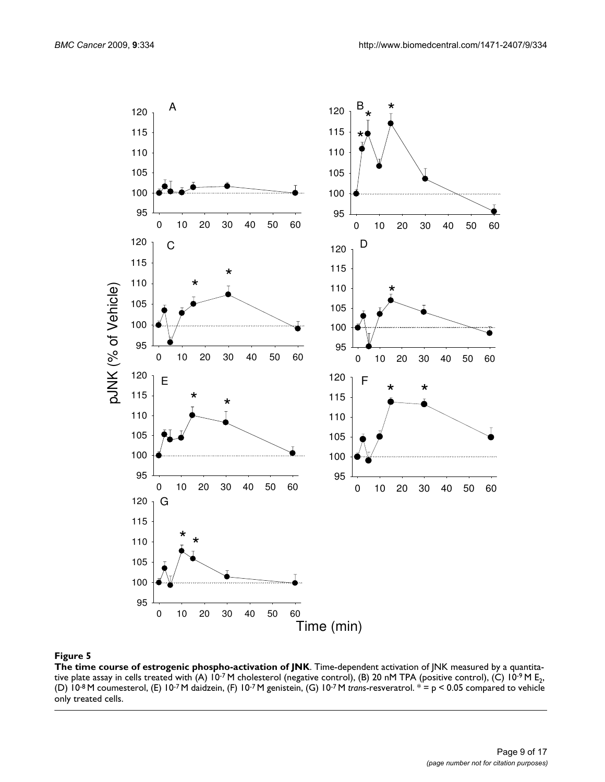

**The time course of estrogenic phospho-activation of JNK**. Time-dependent activation of JNK measured by a quantitative plate assay in cells treated with (A)  $10^{-7}$  M cholesterol (negative control), (B) 20 nM TPA (positive control), (C)  $10^{-9}$  M E<sub>2</sub>, (D) 10-8 M coumesterol, (E) 10-7 M daidzein, (F) 10-7 M genistein, (G) 10-7 M *trans*-resveratrol. \* = p < 0.05 compared to vehicle only treated cells.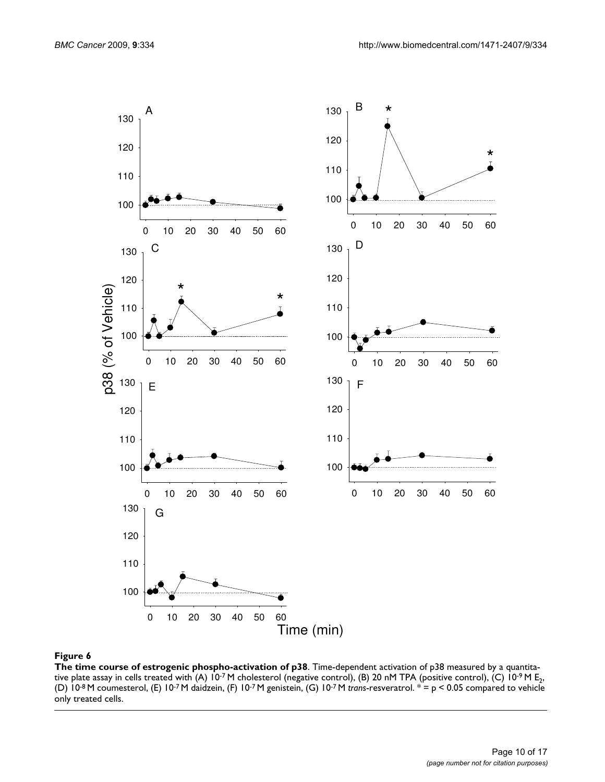

**The time course of estrogenic phospho-activation of p38**. Time-dependent activation of p38 measured by a quantitative plate assay in cells treated with (A) 10<sup>-7</sup> M cholesterol (negative control), (B) 20 nM TPA (positive control), (C) 10<sup>-9</sup> M E<sub>2</sub>, (D) 10-8 M coumesterol, (E) 10-7 M daidzein, (F) 10-7 M genistein, (G) 10-7 M *trans*-resveratrol. \* = p < 0.05 compared to vehicle only treated cells.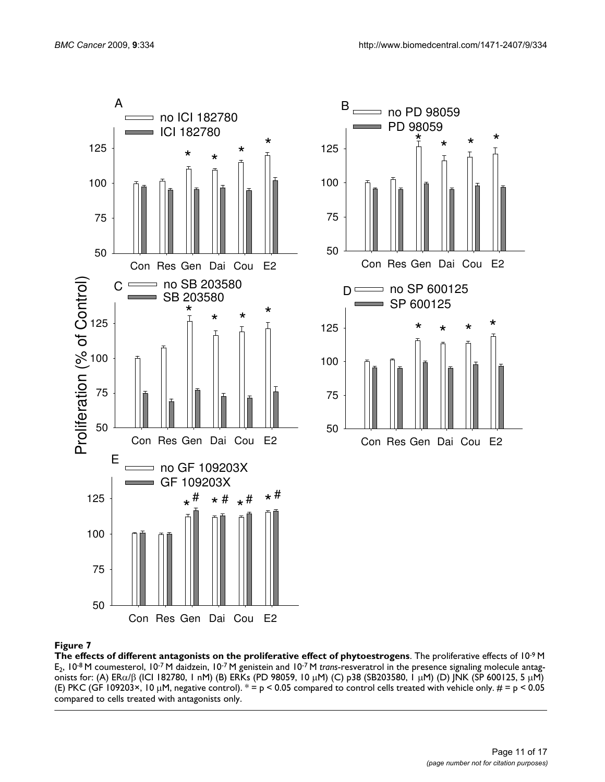

**The effects of different antagonists on the proliferative effect of phytoestrogens**. The proliferative effects of 10-9 M E2, 10-8 M coumesterol, 10-7 M daidzein, 10-7 M genistein and 10-7 M *trans*-resveratrol in the presence signaling molecule antagonists for: (A) ERα/β (ICI 182780, 1 nM) (B) ERKs (PD 98059, 10 μM) (C) p38 (SB203580, 1 μM) (D) JNK (SP 600125, 5 μM) (E) PKC (GF 109203×, 10  $\mu$ M, negative control).  $* = p < 0.05$  compared to control cells treated with vehicle only.  $\mu = p < 0.05$ compared to cells treated with antagonists only.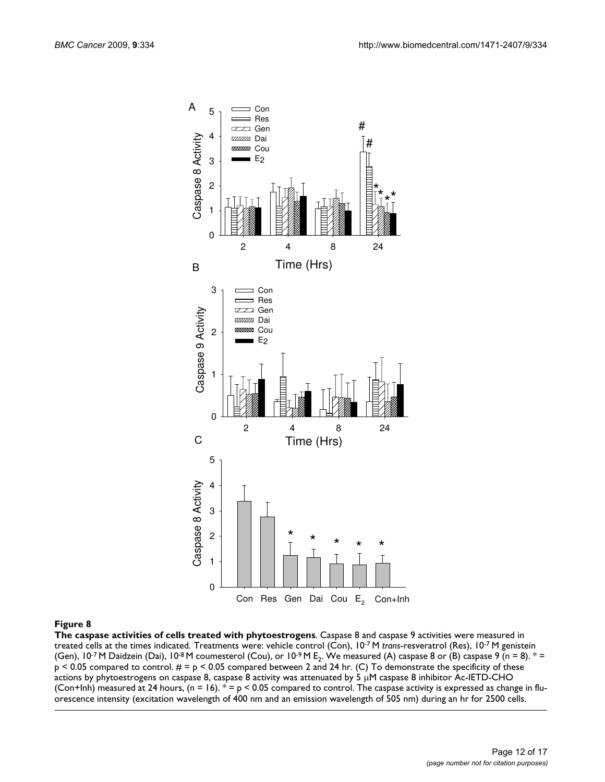

**The caspase activities of cells treated with phytoestrogens**. Caspase 8 and caspase 9 activities were measured in treated cells at the times indicated. Treatments were: vehicle control (Con), 10-7 M *trans*-resveratrol (Res), 10-7 M genistein (Gen),  $10^{-7}$  M Daidzein (Dai),  $10^{-8}$  M coumesterol (Cou), or  $10^{-9}$  M E<sub>2</sub>. We measured (A) caspase 8 or (B) caspase 9 (n = 8).  $*$  =  $p < 0.05$  compared to control.  $\# = p < 0.05$  compared between 2 and 24 hr. (C) To demonstrate the specificity of these actions by phytoestrogens on caspase 8, caspase 8 activity was attenuated by 5 μM caspase 8 inhibitor Ac-IETD-CHO (Con+Inh) measured at 24 hours, (n = 16).  $* = p < 0.05$  compared to control. The caspase activity is expressed as change in fluorescence intensity (excitation wavelength of 400 nm and an emission wavelength of 505 nm) during an hr for 2500 cells.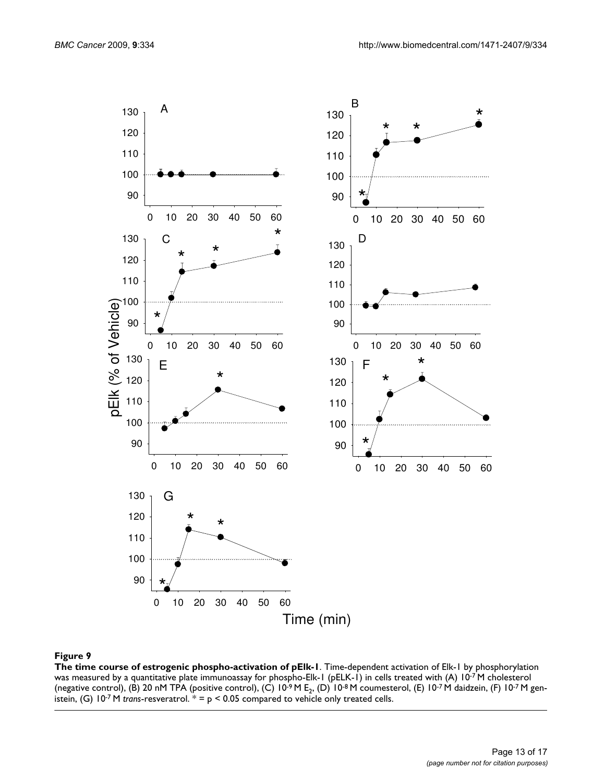

**The time course of estrogenic phospho-activation of pElk-1**. Time-dependent activation of Elk-1 by phosphorylation was measured by a quantitative plate immunoassay for phospho-Elk-1 (pELK-1) in cells treated with (A) 10-7 M cholesterol (negative control), (B) 20 nM TPA (positive control), (C) 10<sup>-9</sup> M E<sub>2</sub>, (D) 10<sup>-8</sup> M coumesterol, (E) 10<sup>-7</sup> M daidzein, (F) 10<sup>-7</sup> M genistein, (G)  $10^{-7}$  M *trans*-resveratrol.  $* = p < 0.05$  compared to vehicle only treated cells.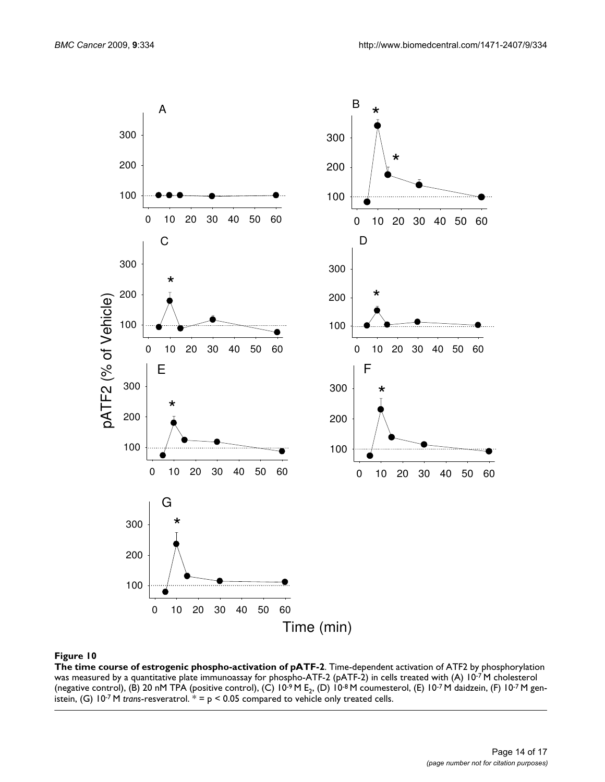

**The time course of estrogenic phospho-activation of pATF-2**. Time-dependent activation of ATF2 by phosphorylation was measured by a quantitative plate immunoassay for phospho-ATF-2 (pATF-2) in cells treated with (A) 10-7 M cholesterol (negative control), (B) 20 nM TPA (positive control), (C)  $10^{-9}$  M E<sub>2</sub>, (D)  $10^{-8}$  M coumesterol, (E)  $10^{-7}$  M daidzein, (F)  $10^{-7}$  M genistein, (G)  $10^{-7}$  M *trans*-resveratrol.  $* = p < 0.05$  compared to vehicle only treated cells.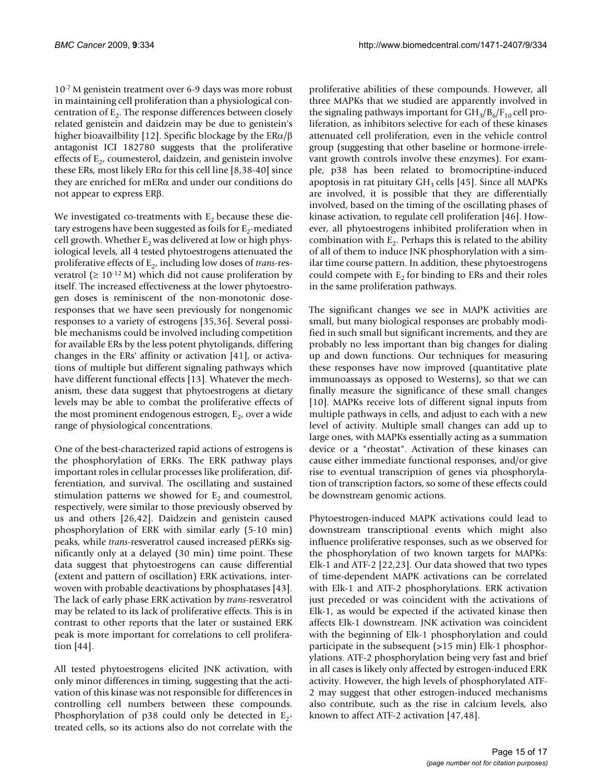10-7 M genistein treatment over 6-9 days was more robust in maintaining cell proliferation than a physiological concentration of  $E<sub>2</sub>$ . The response differences between closely related genistein and daidzein may be due to genistein's higher bioavailbility [12]. Specific blockage by the ERα/β antagonist ICI 182780 suggests that the proliferative effects of  $E_2$ , coumesterol, daidzein, and genistein involve these ERs, most likely ER $\alpha$  for this cell line [8,[38-](#page-16-0)40] since they are enriched for mERα and under our conditions do not appear to express ERβ.

We investigated co-treatments with  $E<sub>2</sub>$  because these dietary estrogens have been suggested as foils for  $E_2$ -mediated cell growth. Whether  $E_2$  was delivered at low or high physiological levels, all 4 tested phytoestrogens attenuated the proliferative effects of E<sub>2</sub>, including low doses of *trans*-resveratrol ( $\geq 10^{-12}$  M) which did not cause proliferation by itself. The increased effectiveness at the lower phytoestrogen doses is reminiscent of the non-monotonic doseresponses that we have seen previously for nongenomic responses to a variety of estrogens [35,36]. Several possible mechanisms could be involved including competition for available ERs by the less potent phytoligands, differing changes in the ERs' affinity or activation [41], or activations of multiple but different signaling pathways which have different functional effects [13]. Whatever the mechanism, these data suggest that phytoestrogens at dietary levels may be able to combat the proliferative effects of the most prominent endogenous estrogen,  $E_2$ , over a wide range of physiological concentrations.

One of the best-characterized rapid actions of estrogens is the phosphorylation of ERKs. The ERK pathway plays important roles in cellular processes like proliferation, differentiation, and survival. The oscillating and sustained stimulation patterns we showed for  $E_2$  and coumestrol, respectively, were similar to those previously observed by us and others [26,42]. Daidzein and genistein caused phosphorylation of ERK with similar early (5-10 min) peaks, while *trans*-resveratrol caused increased pERKs significantly only at a delayed (30 min) time point. These data suggest that phytoestrogens can cause differential (extent and pattern of oscillation) ERK activations, interwoven with probable deactivations by phosphatases [43]. The lack of early phase ERK activation by *trans*-resveratrol may be related to its lack of proliferative effects. This is in contrast to other reports that the later or sustained ERK peak is more important for correlations to cell proliferation [44].

All tested phytoestrogens elicited JNK activation, with only minor differences in timing, suggesting that the activation of this kinase was not responsible for differences in controlling cell numbers between these compounds. Phosphorylation of p38 could only be detected in  $E_2$ treated cells, so its actions also do not correlate with the proliferative abilities of these compounds. However, all three MAPKs that we studied are apparently involved in the signaling pathways important for  $GH<sub>3</sub>/B<sub>6</sub>/F<sub>10</sub>$  cell proliferation, as inhibitors selective for each of these kinases attenuated cell proliferation, even in the vehicle control group (suggesting that other baseline or hormone-irrelevant growth controls involve these enzymes). For example, p38 has been related to bromocriptine-induced apoptosis in rat pituitary  $GH<sub>3</sub>$  cells [45]. Since all MAPKs are involved, it is possible that they are differentially involved, based on the timing of the oscillating phases of kinase activation, to regulate cell proliferation [46]. However, all phytoestrogens inhibited proliferation when in combination with  $E<sub>2</sub>$ . Perhaps this is related to the ability of all of them to induce JNK phosphorylation with a similar time course pattern. In addition, these phytoestrogens could compete with  $E<sub>2</sub>$  for binding to ERs and their roles in the same proliferation pathways.

The significant changes we see in MAPK activities are small, but many biological responses are probably modified in such small but significant increments, and they are probably no less important than big changes for dialing up and down functions. Our techniques for measuring these responses have now improved (quantitative plate immunoassays as opposed to Westerns), so that we can finally measure the significance of these small changes [10]. MAPKs receive lots of different signal inputs from multiple pathways in cells, and adjust to each with a new level of activity. Multiple small changes can add up to large ones, with MAPKs essentially acting as a summation device or a "rheostat". Activation of these kinases can cause either immediate functional responses, and/or give rise to eventual transcription of genes via phosphorylation of transcription factors, so some of these effects could be downstream genomic actions.

Phytoestrogen-induced MAPK activations could lead to downstream transcriptional events which might also influence proliferative responses, such as we observed for the phosphorylation of two known targets for MAPKs: Elk-1 and ATF-2 [22,23]. Our data showed that two types of time-dependent MAPK activations can be correlated with Elk-1 and ATF-2 phosphorylations. ERK activation just preceded or was coincident with the activations of Elk-1, as would be expected if the activated kinase then affects Elk-1 downstream. JNK activation was coincident with the beginning of Elk-1 phosphorylation and could participate in the subsequent (>15 min) Elk-1 phosphorylations. ATF-2 phosphorylation being very fast and brief in all cases is likely only affected by estrogen-induced ERK activity. However, the high levels of phosphorylated ATF-2 may suggest that other estrogen-induced mechanisms also contribute, such as the rise in calcium levels, also known to affect ATF-2 activation [47,48].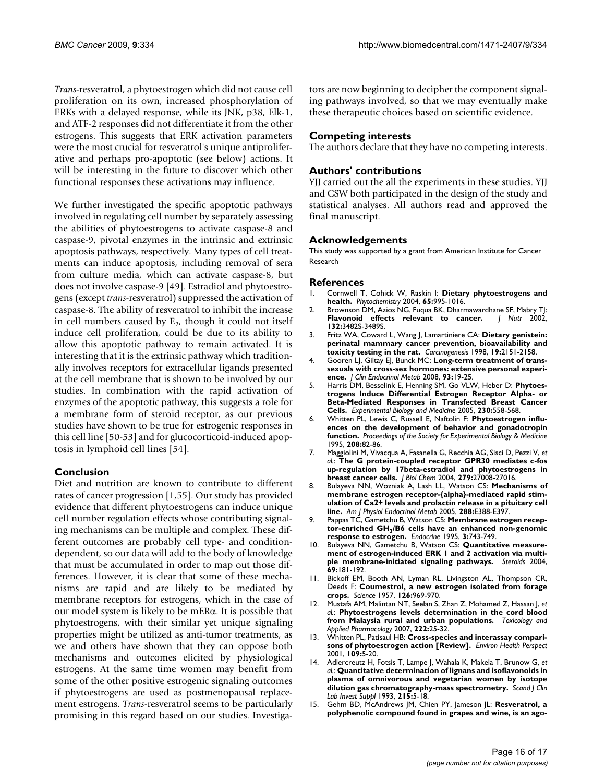*Trans*-resveratrol, a phytoestrogen which did not cause cell proliferation on its own, increased phosphorylation of ERKs with a delayed response, while its JNK, p38, Elk-1, and ATF-2 responses did not differentiate it from the other estrogens. This suggests that ERK activation parameters were the most crucial for resveratrol's unique antiproliferative and perhaps pro-apoptotic (see below) actions. It will be interesting in the future to discover which other functional responses these activations may influence.

We further investigated the specific apoptotic pathways involved in regulating cell number by separately assessing the abilities of phytoestrogens to activate caspase-8 and caspase-9, pivotal enzymes in the intrinsic and extrinsic apoptosis pathways, respectively. Many types of cell treatments can induce apoptosis, including removal of sera from culture media, which can activate caspase-8, but does not involve caspase-9 [49]. Estradiol and phytoestrogens (except *trans*-resveratrol) suppressed the activation of caspase-8. The ability of resveratrol to inhibit the increase in cell numbers caused by  $E<sub>2</sub>$ , though it could not itself induce cell proliferation, could be due to its ability to allow this apoptotic pathway to remain activated. It is interesting that it is the extrinsic pathway which traditionally involves receptors for extracellular ligands presented at the cell membrane that is shown to be involved by our studies. In combination with the rapid activation of enzymes of the apoptotic pathway, this suggests a role for a membrane form of steroid receptor, as our previous studies have shown to be true for estrogenic responses in this cell line [50-53] and for glucocorticoid-induced apoptosis in lymphoid cell lines [54].

# **Conclusion**

Diet and nutrition are known to contribute to different rates of cancer progression [1,55]. Our study has provided evidence that different phytoestrogens can induce unique cell number regulation effects whose contributing signaling mechanisms can be multiple and complex. These different outcomes are probably cell type- and conditiondependent, so our data will add to the body of knowledge that must be accumulated in order to map out those differences. However, it is clear that some of these mechanisms are rapid and are likely to be mediated by membrane receptors for estrogens, which in the case of our model system is likely to be mERα. It is possible that phytoestrogens, with their similar yet unique signaling properties might be utilized as anti-tumor treatments, as we and others have shown that they can oppose both mechanisms and outcomes elicited by physiological estrogens. At the same time women may benefit from some of the other positive estrogenic signaling outcomes if phytoestrogens are used as postmenopausal replacement estrogens. *Trans*-resveratrol seems to be particularly promising in this regard based on our studies. Investigators are now beginning to decipher the component signaling pathways involved, so that we may eventually make these therapeutic choices based on scientific evidence.

# **Competing interests**

The authors declare that they have no competing interests.

# **Authors' contributions**

YJJ carried out the all the experiments in these studies. YJJ and CSW both participated in the design of the study and statistical analyses. All authors read and approved the final manuscript.

### **Acknowledgements**

This study was supported by a grant from American Institute for Cancer Research

#### **References**

- 1. Cornwell T, Cohick W, Raskin I: **[Dietary phytoestrogens and](http://www.ncbi.nlm.nih.gov/entrez/query.fcgi?cmd=Retrieve&db=PubMed&dopt=Abstract&list_uids=15110680) [health.](http://www.ncbi.nlm.nih.gov/entrez/query.fcgi?cmd=Retrieve&db=PubMed&dopt=Abstract&list_uids=15110680)** *Phytochemistry* 2004, **65:**995-1016.
- 2. Brownson DM, Azios NG, Fuqua BK, Dharmawardhane SF, Mabry TJ: **[Flavonoid effects relevant to cancer.](http://www.ncbi.nlm.nih.gov/entrez/query.fcgi?cmd=Retrieve&db=PubMed&dopt=Abstract&list_uids=12421874)** *J Nutr* 2002, **132:**3482S-3489S.
- 3. Fritz WA, Coward L, Wang J, Lamartiniere CA: **[Dietary genistein:](http://www.ncbi.nlm.nih.gov/entrez/query.fcgi?cmd=Retrieve&db=PubMed&dopt=Abstract&list_uids=9886571) [perinatal mammary cancer prevention, bioavailability and](http://www.ncbi.nlm.nih.gov/entrez/query.fcgi?cmd=Retrieve&db=PubMed&dopt=Abstract&list_uids=9886571) [toxicity testing in the rat.](http://www.ncbi.nlm.nih.gov/entrez/query.fcgi?cmd=Retrieve&db=PubMed&dopt=Abstract&list_uids=9886571)** *Carcinogenesis* 1998, **19:**2151-2158.
- 4. Gooren LJ, Giltay EJ, Bunck MC: **[Long-term treatment of trans](http://www.ncbi.nlm.nih.gov/entrez/query.fcgi?cmd=Retrieve&db=PubMed&dopt=Abstract&list_uids=17986639)[sexuals with cross-sex hormones: extensive personal experi](http://www.ncbi.nlm.nih.gov/entrez/query.fcgi?cmd=Retrieve&db=PubMed&dopt=Abstract&list_uids=17986639)[ence.](http://www.ncbi.nlm.nih.gov/entrez/query.fcgi?cmd=Retrieve&db=PubMed&dopt=Abstract&list_uids=17986639)** *J Clin Endocrinol Metab* 2008, **93:**19-25.
- 5. Harris DM, Besselink E, Henning SM, Go VLW, Heber D: **[Phytoes](http://www.ncbi.nlm.nih.gov/entrez/query.fcgi?cmd=Retrieve&db=PubMed&dopt=Abstract&list_uids=16118406)[trogens Induce Differential Estrogen Receptor Alpha- or](http://www.ncbi.nlm.nih.gov/entrez/query.fcgi?cmd=Retrieve&db=PubMed&dopt=Abstract&list_uids=16118406) Beta-Mediated Responses in Transfected Breast Cancer [Cells.](http://www.ncbi.nlm.nih.gov/entrez/query.fcgi?cmd=Retrieve&db=PubMed&dopt=Abstract&list_uids=16118406)** *Experimental Biology and Medicine* 2005, **230:**558-568.
- 6. Whitten PL, Lewis C, Russell E, Naftolin F: **Phytoestrogen influences on the development of behavior and gonadotropin function.** *Proceedings of the Society for Experimental Biology & Medicine* 1995, **208:**82-86.
- 7. Maggiolini M, Vivacqua A, Fasanella G, Recchia AG, Sisci D, Pezzi V, *et al.*: **[The G protein-coupled receptor GPR30 mediates c-fos](http://www.ncbi.nlm.nih.gov/entrez/query.fcgi?cmd=Retrieve&db=PubMed&dopt=Abstract&list_uids=15090535) [up-regulation by 17beta-estradiol and phytoestrogens in](http://www.ncbi.nlm.nih.gov/entrez/query.fcgi?cmd=Retrieve&db=PubMed&dopt=Abstract&list_uids=15090535) [breast cancer cells.](http://www.ncbi.nlm.nih.gov/entrez/query.fcgi?cmd=Retrieve&db=PubMed&dopt=Abstract&list_uids=15090535)** *J Biol Chem* 2004, **279:**27008-27016.
- 8. Bulayeva NN, Wozniak A, Lash LL, Watson CS: **[Mechanisms of](http://www.ncbi.nlm.nih.gov/entrez/query.fcgi?cmd=Retrieve&db=PubMed&dopt=Abstract&list_uids=15494610) [membrane estrogen receptor-{alpha}-mediated rapid stim](http://www.ncbi.nlm.nih.gov/entrez/query.fcgi?cmd=Retrieve&db=PubMed&dopt=Abstract&list_uids=15494610)ulation of Ca2+ levels and prolactin release in a pituitary cell [line.](http://www.ncbi.nlm.nih.gov/entrez/query.fcgi?cmd=Retrieve&db=PubMed&dopt=Abstract&list_uids=15494610)** *Am J Physiol Endocrinol Metab* 2005, **288:**E388-E397.
- 9. Pappas TC, Gametchu B, Watson CS: **Membrane estrogen receptor-enriched GH3/B6 cells have an enhanced non-genomic response to estrogen.** *Endocrine* 1995, **3:**743-749.
- Bulayeva NN, Gametchu B, Watson CS: **[Quantitative measure](http://www.ncbi.nlm.nih.gov/entrez/query.fcgi?cmd=Retrieve&db=PubMed&dopt=Abstract&list_uids=15072920)[ment of estrogen-induced ERK 1 and 2 activation via multi](http://www.ncbi.nlm.nih.gov/entrez/query.fcgi?cmd=Retrieve&db=PubMed&dopt=Abstract&list_uids=15072920)[ple membrane-initiated signaling pathways.](http://www.ncbi.nlm.nih.gov/entrez/query.fcgi?cmd=Retrieve&db=PubMed&dopt=Abstract&list_uids=15072920)** *Steroids* 2004, **69:**181-192.
- 11. Bickoff EM, Booth AN, Lyman RL, Livingston AL, Thompson CR, Deeds F: **[Coumestrol, a new estrogen isolated from forage](http://www.ncbi.nlm.nih.gov/entrez/query.fcgi?cmd=Retrieve&db=PubMed&dopt=Abstract&list_uids=13486041) [crops.](http://www.ncbi.nlm.nih.gov/entrez/query.fcgi?cmd=Retrieve&db=PubMed&dopt=Abstract&list_uids=13486041)** *Science* 1957, **126:**969-970.
- 12. Mustafa AM, Malintan NT, Seelan S, Zhan Z, Mohamed Z, Hassan J, *et al.*: **[Phytoestrogens levels determination in the cord blood](http://www.ncbi.nlm.nih.gov/entrez/query.fcgi?cmd=Retrieve&db=PubMed&dopt=Abstract&list_uids=17490695) [from Malaysia rural and urban populations.](http://www.ncbi.nlm.nih.gov/entrez/query.fcgi?cmd=Retrieve&db=PubMed&dopt=Abstract&list_uids=17490695)** *Toxicology and Applied Pharmacology* 2007, **222:**25-32.
- 13. Whitten PL, Patisaul HB: [Cross-species and interassay compari](http://www.ncbi.nlm.nih.gov/entrez/query.fcgi?cmd=Retrieve&db=PubMed&dopt=Abstract&list_uids=11250801)**[sons of phytoestrogen action \[Review\].](http://www.ncbi.nlm.nih.gov/entrez/query.fcgi?cmd=Retrieve&db=PubMed&dopt=Abstract&list_uids=11250801)** *Environ Health Perspect* 2001, **109:**5-20.
- 14. Adlercreutz H, Fotsis T, Lampe J, Wahala K, Makela T, Brunow G, *et al.*: **[Quantitative determination of lignans and isoflavonoids in](http://www.ncbi.nlm.nih.gov/entrez/query.fcgi?cmd=Retrieve&db=PubMed&dopt=Abstract&list_uids=8392221) [plasma of omnivorous and vegetarian women by isotope](http://www.ncbi.nlm.nih.gov/entrez/query.fcgi?cmd=Retrieve&db=PubMed&dopt=Abstract&list_uids=8392221) [dilution gas chromatography-mass spectrometry.](http://www.ncbi.nlm.nih.gov/entrez/query.fcgi?cmd=Retrieve&db=PubMed&dopt=Abstract&list_uids=8392221)** *Scand J Clin Lab Invest Suppl* 1993, **215:**5-18.
- 15. Gehm BD, McAndrews JM, Chien PY, Jameson JL: **[Resveratrol, a](http://www.ncbi.nlm.nih.gov/entrez/query.fcgi?cmd=Retrieve&db=PubMed&dopt=Abstract&list_uids=9391166) [polyphenolic compound found in grapes and wine, is an ago](http://www.ncbi.nlm.nih.gov/entrez/query.fcgi?cmd=Retrieve&db=PubMed&dopt=Abstract&list_uids=9391166)-**